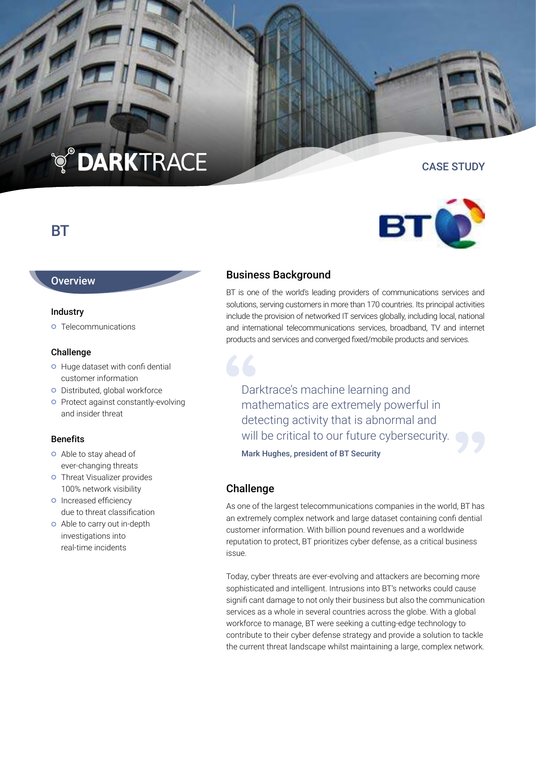# **TO DARKTRACE**

# BT

## **Overview**

#### Industry

**o** Telecommunications

### Challenge

- **O** Huge dataset with confi dential customer information
- **o** Distributed, global workforce
- **o** Protect against constantly-evolving and insider threat

## Benefits

- Able to stay ahead of ever-changing threats
- **o** Threat Visualizer provides 100% network visibility
- **o** Increased efficiency due to threat classification
- Able to carry out in-depth investigations into real-time incidents

# Business Background

BT is one of the world's leading providers of communications services and solutions, serving customers in more than 170 countries. Its principal activities include the provision of networked IT services globally, including local, national and international telecommunications services, broadband, TV and internet products and services and converged fixed/mobile products and services.

Darktrace's machine learning and mathematics are extremely powerful in detecting activity that is abnormal and will be critical to our future cybersecurity.

Mark Hughes, president of BT Security

## Challenge

As one of the largest telecommunications companies in the world, BT has an extremely complex network and large dataset containing confi dential customer information. With billion pound revenues and a worldwide reputation to protect, BT prioritizes cyber defense, as a critical business issue.

Today, cyber threats are ever-evolving and attackers are becoming more sophisticated and intelligent. Intrusions into BT's networks could cause signifi cant damage to not only their business but also the communication services as a whole in several countries across the globe. With a global workforce to manage, BT were seeking a cutting-edge technology to contribute to their cyber defense strategy and provide a solution to tackle the current threat landscape whilst maintaining a large, complex network.



CASE STUDY